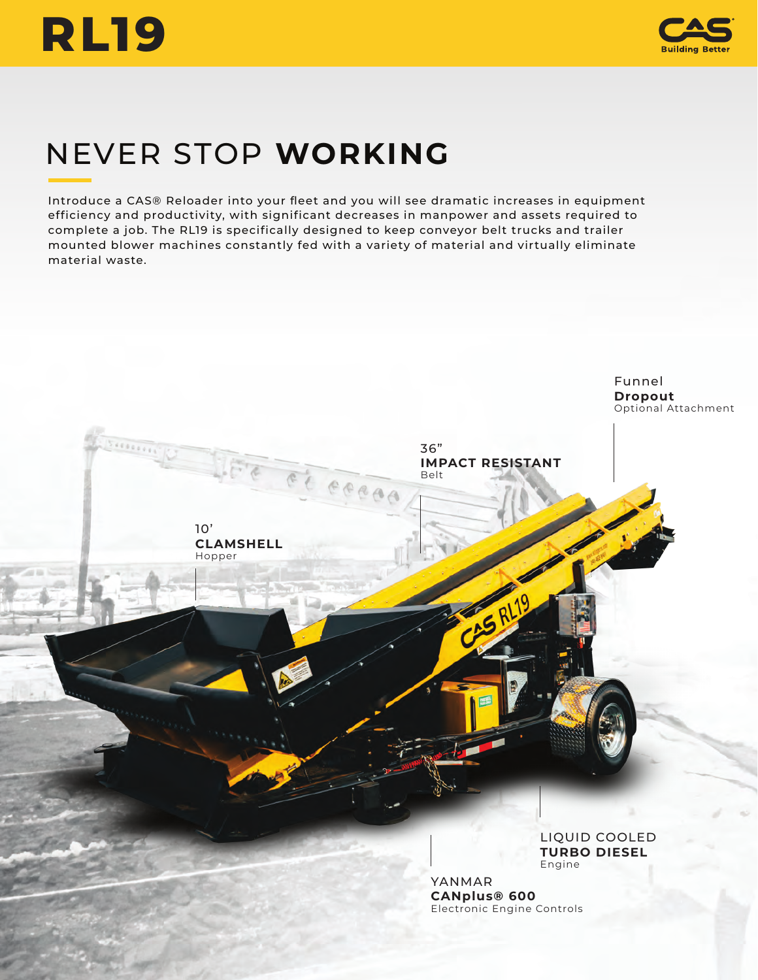



# NEVER STOP **WORKING**

Introduce a CAS® Reloader into your fleet and you will see dramatic increases in equipment efficiency and productivity, with significant decreases in manpower and assets required to complete a job. The RL19 is specifically designed to keep conveyor belt trucks and trailer mounted blower machines constantly fed with a variety of material and virtually eliminate material waste.